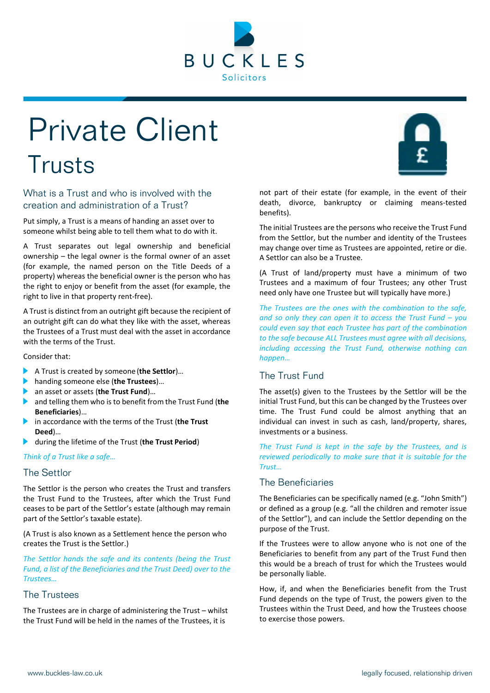

# Private Client Trusts



Put simply, a Trust is a means of handing an asset over to someone whilst being able to tell them what to do with it.

A Trust separates out legal ownership and beneficial ownership – the legal owner is the formal owner of an asset (for example, the named person on the Title Deeds of a property) whereas the beneficial owner is the person who has the right to enjoy or benefit from the asset (for example, the right to live in that property rent-free).

A Trust is distinct from an outright gift because the recipient of an outright gift can do what they like with the asset, whereas the Trustees of a Trust must deal with the asset in accordance with the terms of the Trust.

Consider that:

- A Trust is created by someone (**the Settlor**)…
- **handing someone else (the Trustees)...**<br>**A** an asset or assets (the Trust Fund)
- **Exercise 3 an asset or assets (the Trust Fund)…**<br>■ and telling them who is to benefit fro
- and telling them who is to benefit from the Trust Fund (**the Beneficiaries**)…
- in accordance with the terms of the Trust (**the Trust Deed**)…
- during the lifetime of the Trust (**the Trust Period**)

*Think of a Trust like a safe…*

#### The Settlor

The Settlor is the person who creates the Trust and transfers the Trust Fund to the Trustees, after which the Trust Fund ceases to be part of the Settlor's estate (although may remain part of the Settlor's taxable estate).

(A Trust is also known as a Settlement hence the person who creates the Trust is the Settlor.)

*The Settlor hands the safe and its contents (being the Trust Fund, a list of the Beneficiaries and the Trust Deed) over to the Trustees…*

# The Trustees

The Trustees are in charge of administering the Trust – whilst the Trust Fund will be held in the names of the Trustees, it is

not part of their estate (for example, in the event of their death, divorce, bankruptcy or claiming means-tested benefits).

The initial Trustees are the persons who receive the Trust Fund from the Settlor, but the number and identity of the Trustees may change over time as Trustees are appointed, retire or die. A Settlor can also be a Trustee.

(A Trust of land/property must have a minimum of two Trustees and a maximum of four Trustees; any other Trust need only have one Trustee but will typically have more.)

*The Trustees are the ones with the combination to the safe, and so only they can open it to access the Trust Fund – you could even say that each Trustee has part of the combination to the safe because ALL Trustees must agree with all decisions, including accessing the Trust Fund, otherwise nothing can happen…*

# The Trust Fund

The asset(s) given to the Trustees by the Settlor will be the initial Trust Fund, but this can be changed by the Trustees over time. The Trust Fund could be almost anything that an individual can invest in such as cash, land/property, shares, investments or a business.

*The Trust Fund is kept in the safe by the Trustees, and is reviewed periodically to make sure that it is suitable for the Trust…*

# The Beneficiaries

The Beneficiaries can be specifically named (e.g. "John Smith") or defined as a group (e.g. "all the children and remoter issue of the Settlor"), and can include the Settlor depending on the purpose of the Trust.

If the Trustees were to allow anyone who is not one of the Beneficiaries to benefit from any part of the Trust Fund then this would be a breach of trust for which the Trustees would be personally liable.

How, if, and when the Beneficiaries benefit from the Trust Fund depends on the type of Trust, the powers given to the Trustees within the Trust Deed, and how the Trustees choose to exercise those powers.

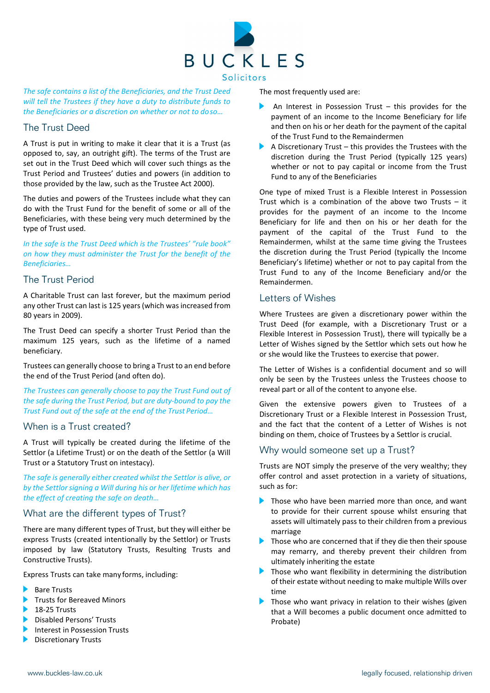

*The safe contains a list of the Beneficiaries, and the Trust Deed will tell the Trustees if they have a duty to distribute funds to the Beneficiaries or a discretion on whether or not to doso…*

## The Trust Deed

A Trust is put in writing to make it clear that it is a Trust (as opposed to, say, an outright gift). The terms of the Trust are set out in the Trust Deed which will cover such things as the Trust Period and Trustees' duties and powers (in addition to those provided by the law, such as the Trustee Act 2000).

The duties and powers of the Trustees include what they can do with the Trust Fund for the benefit of some or all of the Beneficiaries, with these being very much determined by the type of Trust used.

*In the safe is the Trust Deed which is the Trustees' "rule book" on how they must administer the Trust for the benefit of the Beneficiaries…*

## The Trust Period

A Charitable Trust can last forever, but the maximum period any other Trust can last is 125 years (which was increased from 80 years in 2009).

The Trust Deed can specify a shorter Trust Period than the maximum 125 years, such as the lifetime of a named beneficiary.

Trustees can generally choose to bring a Trust to an end before the end of the Trust Period (and often do).

*The Trustees can generally choose to pay the Trust Fund out of the safe during the Trust Period, but are duty-bound to pay the Trust Fund out of the safe at the end of the Trust Period…*

#### When is a Trust created?

A Trust will typically be created during the lifetime of the Settlor (a Lifetime Trust) or on the death of the Settlor (a Will Trust or a Statutory Trust on intestacy).

*The safe is generally either created whilst the Settlor is alive, or by the Settlorsigning a Will during his or her lifetime which has the effect of creating the safe on death…*

#### What are the different types of Trust?

There are many different types of Trust, but they will either be express Trusts (created intentionally by the Settlor) or Trusts imposed by law (Statutory Trusts, Resulting Trusts and Constructive Trusts).

Express Trusts can take many forms, including:

- Bare Trusts
- Trusts for Bereaved Minors
- $\blacktriangleright$  18-25 Trusts
- **Disabled Persons' Trusts**
- Interest in Possession Trusts
- **Discretionary Trusts**

The most frequently used are:

- An Interest in Possession Trust this provides for the payment of an income to the Income Beneficiary for life and then on his or her death for the payment of the capital of the Trust Fund to the Remaindermen
- A Discretionary Trust this provides the Trustees with the discretion during the Trust Period (typically 125 years) whether or not to pay capital or income from the Trust Fund to any of the Beneficiaries

One type of mixed Trust is a Flexible Interest in Possession Trust which is a combination of the above two Trusts – it provides for the payment of an income to the Income Beneficiary for life and then on his or her death for the payment of the capital of the Trust Fund to the Remaindermen, whilst at the same time giving the Trustees the discretion during the Trust Period (typically the Income Beneficiary's lifetime) whether or not to pay capital from the Trust Fund to any of the Income Beneficiary and/or the Remaindermen.

#### Letters of Wishes

Where Trustees are given a discretionary power within the Trust Deed (for example, with a Discretionary Trust or a Flexible Interest in Possession Trust), there will typically be a Letter of Wishes signed by the Settlor which sets out how he or she would like the Trustees to exercise that power.

The Letter of Wishes is a confidential document and so will only be seen by the Trustees unless the Trustees choose to reveal part or all of the content to anyone else.

Given the extensive powers given to Trustees of a Discretionary Trust or a Flexible Interest in Possession Trust, and the fact that the content of a Letter of Wishes is not binding on them, choice of Trustees by a Settlor is crucial.

## Why would someone set up a Trust?

Trusts are NOT simply the preserve of the very wealthy; they offer control and asset protection in a variety of situations, such as for:

- Those who have been married more than once, and want to provide for their current spouse whilst ensuring that assets will ultimately pass to their children from a previous marriage
- **Those who are concerned that if they die then their spouse** may remarry, and thereby prevent their children from ultimately inheriting the estate
- **Those who want flexibility in determining the distribution** of their estate without needing to make multiple Wills over time
- Those who want privacy in relation to their wishes (given that a Will becomes a public document once admitted to Probate)